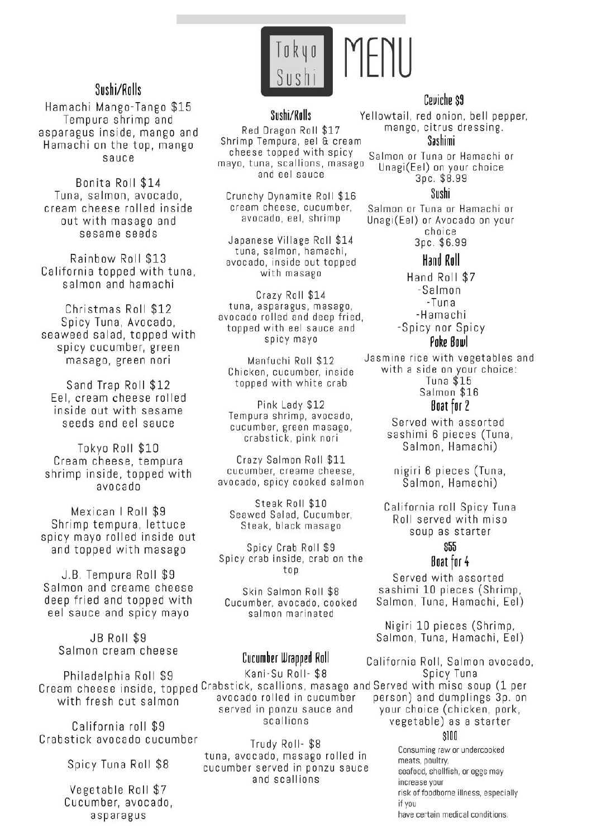

# Sushi/Rolls

Hamachi Mango-Tango \$15 Tempura shrimp and asparagus inside, mango and Hamachi on the top, mango sauce

Bonita Roll \$14 Tuna, salmon, avocado. cream cheese rolled inside out with masago and sesame seeds

Rainbow Roll \$13 California topped with tuna, salmon and hamachi

Christmas Roll \$12 Spicy Tuna, Avocado, seaweed salad, topped with spicy cucumber, green masago, green nori

Sand Trap Roll \$12 Eel, cream cheese rolled inside out with sesame seeds and eel sauce

Tokyo Roll \$10 Cream cheese, tempura shrimp inside, topped with obspovs

Mexican | Roll \$9 Shrimp tempura, lettuce spicy mayo rolled inside out and topped with masago

J.B. Tempura Roll \$9 Salmon and creame cheese deep fried and topped with eel sauce and spicy mayo

> **JB Roll \$9** Salmon cream cheese

Philadelphia Roll \$9 with fresh cut salmon

California roll \$9 Crabstick avocado cucumber

Spicy Tuna Roll \$8

Vegetable Roll \$7 Cucumber, avocado, asparagus

### Sushi/Ralls

Red Dragon Roll \$17 Shrimp Tempura, eel & cream cheese topped with spicy mayo, tuna, scallions, masago and eel sauce

Crunchy Dynamite Roll \$16 cream cheese, cucumber, avocado, eel, shrimp

Japanese Village Roll \$14 tuna, salmon, hamachi, avocado, inside out topped with masago

Crazy Roll \$14 tuna, asparagus, masago, avocado rolled and deep fried. topped with eel sauce and spicy mayo

Manfuchi Roll \$12 Chicken, cucumber, inside topped with white crab

Pink Lady \$12 Tempura shrimp, avocado, cucumber, green masago, crabstick, pink nori

Crazy Salmon Roll \$11 cucumber, creame cheese, avocado, spicy cooked salmon

Steak Roll \$10 Seawed Salad, Cucumber, Steak, black masago

Spicy Crab Roll \$9 Spicy crab inside, crab on the top

Skin Salmon Roll \$8 Cucumber, avocado, cooked salmon marinated

# Cucumber Wrapped Roll

Kani-Su Roll- \$8 Cream cheese inside, topped Crabstick, scallions, masago and Served with miso soup (1 per avocado rolled in cucumber served in ponzu sauce and scallions

> Trudy Roll-\$8 tuna, avocado, masago rolled in cucumber served in ponzu sauce and scallions

### Ceviche \$9

Yellowtail, red onion, bell pepper, mango, citrus dressing.

Sashimi

Salmon or Tuna or Hamachi or Unagi(Eel) on your choice 3pc. \$8.99

#### Sushi

Salmon or Tuna or Hamachi or Unagi(Eel) or Avocado on your choice Зрс. \$6.99

### Hand Roll

Hand Roll \$7 -Salmon -Tuna -Hamachi -Spicy nor Spicy Poke Bowl

Jasmine rice with vegetables and with a side on your choice: Tuna  $$15$ Salmon \$16

### Boat for 2

Served with assorted sashimi 6 pieces (Tuna, Salmon, Hamachi)

nigiri 6 pieces (Tuna, Salmon, Hamachi)

California roll Spicy Tuna Roll served with miso soup as starter

## \$55

#### Boat for 4

Served with assorted sashimi 10 pieces (Shrimp, Salmon, Tuna, Hamachi, Eel)

Nigiri 10 pieces (Shrimp, Salmon, Tuna, Hamachi, Eel)

California Roll, Salmon avocado, Spicy Tuna person) and dumplings 3p. on your choice (chicken, pork, vegetable) as a starter  $$100$ 

> Consuming raw or undercooked meats, poultry. seafood, shellfish, or eggs may increase your risk of foodborne illness, especially if you have certain medical conditions.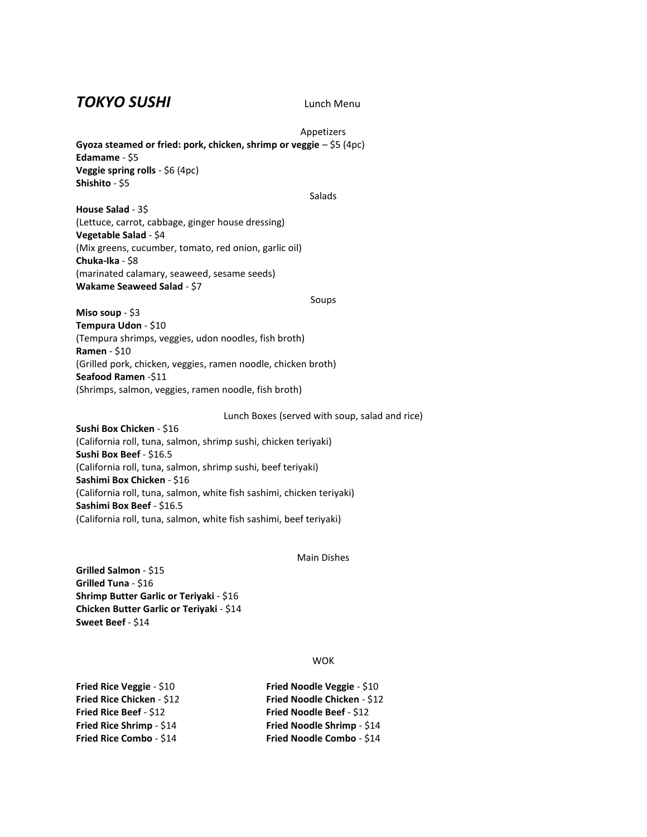## *TOKYO SUSHI* Lunch Menu

Appetizers **Gyoza steamed or fried: pork, chicken, shrimp or veggie** – \$5 (4pc) **Edamame** - \$5 **Veggie spring rolls** - \$6 (4pc) **Shishito** - \$5

#### Salads

**House Salad** - 3\$ (Lettuce, carrot, cabbage, ginger house dressing) **Vegetable Salad** - \$4 (Mix greens, cucumber, tomato, red onion, garlic oil) **Chuka-Ika** - \$8 (marinated calamary, seaweed, sesame seeds) **Wakame Seaweed Salad** - \$7

#### Soups

**Miso soup** - \$3 **Tempura Udon** - \$10 (Tempura shrimps, veggies, udon noodles, fish broth) **Ramen** - \$10 (Grilled pork, chicken, veggies, ramen noodle, chicken broth) **Seafood Ramen** -\$11 (Shrimps, salmon, veggies, ramen noodle, fish broth)

Lunch Boxes (served with soup, salad and rice)

**Sushi Box Chicken** - \$16 (California roll, tuna, salmon, shrimp sushi, chicken teriyaki) **Sushi Box Beef** - \$16.5 (California roll, tuna, salmon, shrimp sushi, beef teriyaki) **Sashimi Box Chicken** - \$16 (California roll, tuna, salmon, white fish sashimi, chicken teriyaki) **Sashimi Box Beef** - \$16.5 (California roll, tuna, salmon, white fish sashimi, beef teriyaki)

#### Main Dishes

**Grilled Salmon** - \$15 **Grilled Tuna** - \$16 **Shrimp Butter Garlic or Teriyaki** - \$16 **Chicken Butter Garlic or Teriyaki** - \$14 **Sweet Beef** - \$14

#### WOK

| <b>Fried Rice Veggie - \$10</b> | Fried Noodle Veggie - \$10      |
|---------------------------------|---------------------------------|
| Fried Rice Chicken - \$12       | Fried Noodle Chicken - \$12     |
| Fried Rice Beef - \$12          | <b>Fried Noodle Beef - \$12</b> |
| Fried Rice Shrimp - \$14        | Fried Noodle Shrimp - \$14      |
| Fried Rice Combo - \$14         | Fried Noodle Combo - \$14       |